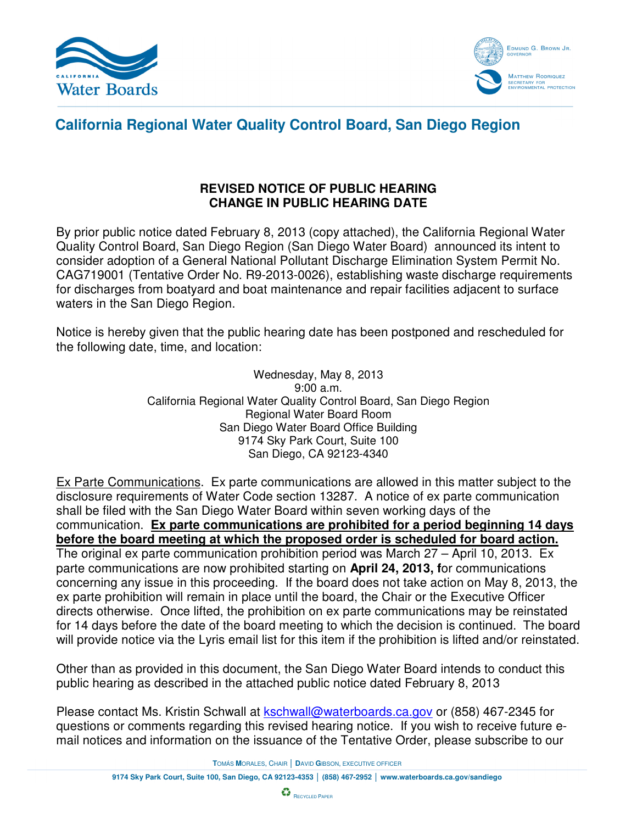



## **California Regional Water Quality Control Board, San Diego Region**

## **REVISED NOTICE OF PUBLIC HEARING CHANGE IN PUBLIC HEARING DATE**

By prior public notice dated February 8, 2013 (copy attached), the California Regional Water Quality Control Board, San Diego Region (San Diego Water Board) announced its intent to consider adoption of a General National Pollutant Discharge Elimination System Permit No. CAG719001 (Tentative Order No. R9-2013-0026), establishing waste discharge requirements for discharges from boatyard and boat maintenance and repair facilities adjacent to surface waters in the San Diego Region.

Notice is hereby given that the public hearing date has been postponed and rescheduled for the following date, time, and location:

> Wednesday, May 8, 2013 9:00 a.m. California Regional Water Quality Control Board, San Diego Region Regional Water Board Room San Diego Water Board Office Building 9174 Sky Park Court, Suite 100 San Diego, CA 92123-4340

Ex Parte Communications. Ex parte communications are allowed in this matter subject to the disclosure requirements of Water Code section 13287. A notice of ex parte communication shall be filed with the San Diego Water Board within seven working days of the communication. **Ex parte communications are prohibited for a period beginning 14 days before the board meeting at which the proposed order is scheduled for board action.** The original ex parte communication prohibition period was March 27 – April 10, 2013. Ex parte communications are now prohibited starting on **April 24, 2013, f**or communications concerning any issue in this proceeding. If the board does not take action on May 8, 2013, the ex parte prohibition will remain in place until the board, the Chair or the Executive Officer directs otherwise. Once lifted, the prohibition on ex parte communications may be reinstated for 14 days before the date of the board meeting to which the decision is continued. The board will provide notice via the Lyris email list for this item if the prohibition is lifted and/or reinstated.

Other than as provided in this document, the San Diego Water Board intends to conduct this public hearing as described in the attached public notice dated February 8, 2013

Please contact Ms. Kristin Schwall at kschwall@waterboards.ca.gov or (858) 467-2345 for questions or comments regarding this revised hearing notice. If you wish to receive future email notices and information on the issuance of the Tentative Order, please subscribe to our

**T**OMÁS **M**ORALES, CHAIR │ **D**AVID **G**IBSON, EXECUTIVE OFFICER